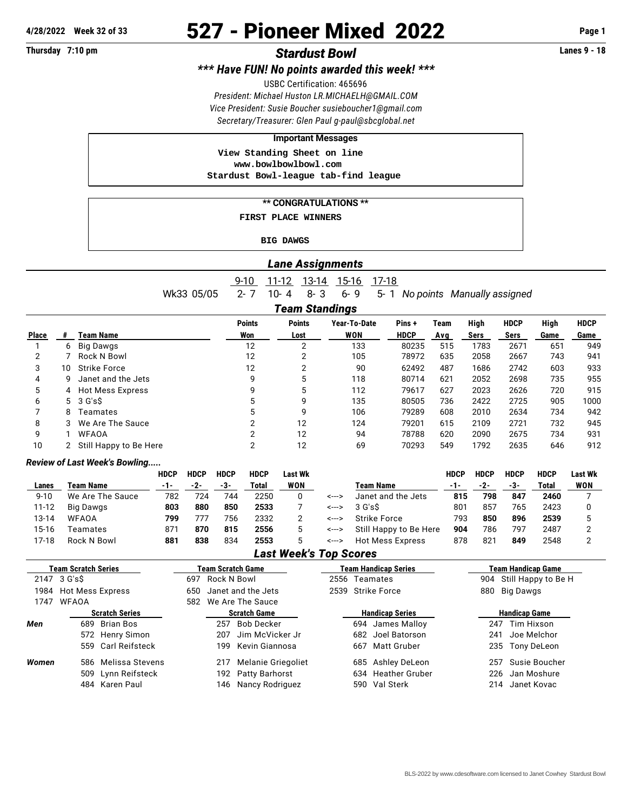# **4/28/2022 Week 32 of 33** 527 - Pioneer Mixed 2022 **Page 1**

## **Thursday 7:10 pm** *Stardust Bowl* **Lanes 9 - 18**

*\*\*\* Have FUN! No points awarded this week! \*\*\**

USBC Certification: 465696

*President: Michael Huston [LR.MICHAELH@GMAIL.COM](mailto:LR.MICHAELH@GMAIL.COM) Vice President: Susie Boucher [susieboucher1@gmail.com](mailto:susieboucher1@gmail.com) Secretary/Treasurer: Glen Paul [g-paul@sbcglobal.net](mailto:g-paul@sbcglobal.net)*

#### **Important Messages**

 **View Standing Sheet on line <www.bowlbowlbowl.com> Stardust Bowl-league tab-find league**

#### **\*\* CONGRATULATIONS \*\***

 **FIRST PLACE WINNERS**

#### **BIG DAWGS**

|  | <b>Lane Assignments</b> |  |
|--|-------------------------|--|
|  |                         |  |

9-10 11-12 13-14 15-16 17-18 Wk33 05/05 2- 7 10- 4 8- 3 6- 9 5- 1 *No points Manually assigned*

*Team Standings*

|                |    |                                   | <b>Points</b> | <b>Points</b> | Year-To-Date | Pins+       | Team | High | <b>HDCP</b> | High | <b>HDCP</b> |
|----------------|----|-----------------------------------|---------------|---------------|--------------|-------------|------|------|-------------|------|-------------|
| Place          |    | Team Name                         | Won           | Lost          | WON          | <b>HDCP</b> | Avg  | Sers | Sers        | Game | Game        |
|                | 6. | Big Dawgs                         | 12            | າ             | 133          | 80235       | 515  | 1783 | 2671        | 651  | 949         |
| $\overline{2}$ |    | Rock N Bowl                       | 12            | 2             | 105          | 78972       | 635  | 2058 | 2667        | 743  | 941         |
| 3              | 10 | <b>Strike Force</b>               | 12            | 2             | 90           | 62492       | 487  | 1686 | 2742        | 603  | 933         |
| 4              | 9. | Janet and the Jets                | 9             | 5             | 118          | 80714       | 621  | 2052 | 2698        | 735  | 955         |
| 5              |    | 4 Hot Mess Express                | 9             | 5             | 112          | 79617       | 627  | 2023 | 2626        | 720  | 915         |
| 6              |    | $5 \quad 3 \text{ G}'\text{s}$ \$ | 5             | 9             | 135          | 80505       | 736  | 2422 | 2725        | 905  | 1000        |
|                | 8  | Teamates                          | 5             | 9             | 106          | 79289       | 608  | 2010 | 2634        | 734  | 942         |
| 8              | 3  | We Are The Sauce                  | っ             | 12            | 124          | 79201       | 615  | 2109 | 2721        | 732  | 945         |
| 9              |    | <b>WFAOA</b>                      | っ             | 12            | 94           | 78788       | 620  | 2090 | 2675        | 734  | 931         |
| 10             |    | 2 Still Happy to Be Here          | ◠             | 12            | 69           | 70293       | 549  | 1792 | 2635        | 646  | 912         |

### *Review of Last Week's Bowling.....*

|        |                  | <b>HDCP</b> | <b>HDCP</b> | <b>HDCP</b> | <b>HDCP</b> | Last Wk    |       |                        | <b>HDCP</b> | <b>HDCP</b> | HDCP | <b>HDCP</b> | <b>Last Wk</b> |
|--------|------------------|-------------|-------------|-------------|-------------|------------|-------|------------------------|-------------|-------------|------|-------------|----------------|
| Lanes  | Team Name        | -1-         | -2-         | -3-         | Total       | <b>WON</b> |       | Team Name              | -1-         | -2-         | -3-  | Total       | WON            |
| $9-10$ | We Are The Sauce | 782         | 724         | 744         | 2250        |            | <---> | Janet and the Jets     | 815         | 798         | 847  | 2460        |                |
| 11-12  | Big Dawgs        | 803         | 880         | 850         | 2533        |            | <---> | $3G$ 's $\mathsf{S}$   | 801         | 857         | 765  | 2423        |                |
| 13-14  | <b>WFAOA</b>     | 799         | 77.         | 756         | 2332        |            | <---> | Strike Force           | 793         | 850         | 896  | 2539        |                |
| 15-16  | Teamates         | 871         | 870         | 815         | 2556        |            | <---> | Still Happy to Be Here | 904         | 786         | 797  | 2487        |                |
| 17-18  | Rock N Bowl      | 881         | 838         | 834         | 2553        |            | <---> | Hot Mess Express       | 878         | 821         | 849  | 2548        |                |

### *Last Week's Top Scores*

| <b>Team Scratch Series</b> |                       |                     | <b>Team Scratch Game</b> |                      |                    |               | <b>Team Handicap Series</b> | <b>Team Handicap Game</b> |                  |                      |  |  |  |
|----------------------------|-----------------------|---------------------|--------------------------|----------------------|--------------------|---------------|-----------------------------|---------------------------|------------------|----------------------|--|--|--|
|                            | 2147 3 G's\$          | Rock N Bowl<br>697  |                          |                      |                    | 2556 Teamates |                             | 904 Still Happy to Be H   |                  |                      |  |  |  |
|                            | 1984 Hot Mess Express |                     | 650                      | Janet and the Jets   |                    |               | 2539 Strike Force           |                           | Big Dawgs<br>880 |                      |  |  |  |
| 1747                       | <b>WFAOA</b>          |                     |                          | 582 We Are The Sauce |                    |               |                             |                           |                  |                      |  |  |  |
|                            | <b>Scratch Series</b> |                     | <b>Scratch Game</b>      |                      |                    |               | <b>Handicap Series</b>      |                           |                  | <b>Handicap Game</b> |  |  |  |
| Men                        | 689                   | Brian Bos           |                          | 257                  | Bob Decker         |               |                             | 694 James Malloy          | 247              | Tim Hixson           |  |  |  |
|                            |                       | 572 Henry Simon     |                          | 207                  | Jim McVicker Jr    |               |                             | 682 Joel Batorson         | 241              | Joe Melchor          |  |  |  |
|                            |                       | 559 Carl Reifsteck  |                          | 199                  | Kevin Giannosa     |               |                             | 667 Matt Gruber           |                  | 235 Tony DeLeon      |  |  |  |
| Women                      |                       | 586 Melissa Stevens |                          | 217                  | Melanie Griegoliet |               |                             | 685 Ashley DeLeon         | 257              | Susie Boucher        |  |  |  |
|                            |                       | 509 Lynn Reifsteck  |                          |                      | 192 Patty Barhorst |               |                             | 634 Heather Gruber        |                  | 226 Jan Moshure      |  |  |  |
|                            |                       | 484 Karen Paul      |                          | 146                  | Nancy Rodriguez    |               |                             | 590 Val Sterk             | 214              | Janet Kovac          |  |  |  |